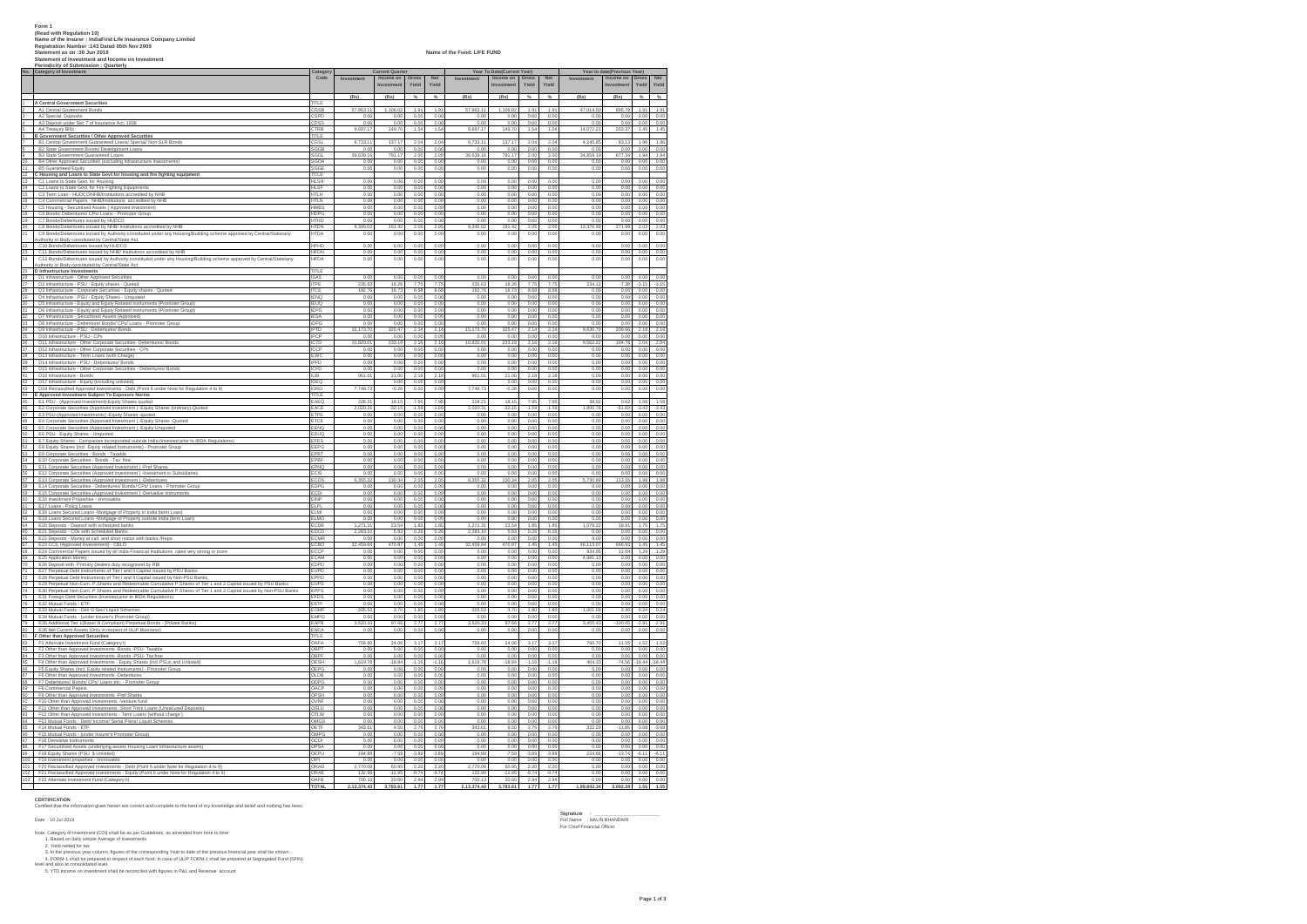|        | Form 1<br>(Read with Regulation 10)<br>Name of the Insurer : IndiaFirst Life Insurance Company Limited<br>Realstration Number : 143 Dated 05th Nov 2009<br>Statement as on :30 Jun 2019<br>Statement of Investment and Income on Investment<br>Periodicity of Submission : Quarterly |                            |                        |                        |                 |                  | Name of the Fund: LIFE FUND |                                                       |                 |                  |                     |                             |                                                            |  |
|--------|--------------------------------------------------------------------------------------------------------------------------------------------------------------------------------------------------------------------------------------------------------------------------------------|----------------------------|------------------------|------------------------|-----------------|------------------|-----------------------------|-------------------------------------------------------|-----------------|------------------|---------------------|-----------------------------|------------------------------------------------------------|--|
|        | No. Category of Investment                                                                                                                                                                                                                                                           | Code                       | Investment             | urrent Quart           | Gross           | Net              | Investme                    | Year To Date(Current Year)<br>Income on<br>Investment | Gross<br>Yield  | Net<br>Yield     | Investr             | Year to date(Previous Year) | Gross<br>Yield<br>Net<br>Yield                             |  |
|        |                                                                                                                                                                                                                                                                                      |                            |                        | Investmen              | Yield           | Yield            |                             |                                                       |                 |                  |                     | Investmen                   |                                                            |  |
|        | <b>4 A Central Government Securities</b><br><b>2</b> A1 Central Government Bonds                                                                                                                                                                                                     | nti E                      | (Rs)                   | (Rs)                   | %               | %                | (Rs)                        | (Rs)                                                  | %               | %                | (Rs)                | (Rs)                        | %<br>$\frac{9}{4}$                                         |  |
|        | A2 Special Deposits                                                                                                                                                                                                                                                                  | CGSB                       | 57,963.11<br>0.00      | 1,106.02<br>0.01       | 1.91<br>0.00    | 1.91<br>0.00     | 57,963.11<br>0.00           | 1,106.02<br>0.0                                       | 1.91<br>0.00    | 1.91<br>0.00     | 47.014.50           | 895.78<br>0.00              | 1.91<br>1.91<br>0.00<br>0.00                               |  |
|        | A3 Deposit under Sec 7 of Insurance Act, 1938                                                                                                                                                                                                                                        | CDS:                       | 0.00                   | 0.01                   | 0.00            | 0.00             | 0.00                        | 0.00                                                  | 0.00            | 0.00             | 0.00                | 0.00                        | 0.00<br>0.00                                               |  |
|        | A4 Treasury Bills<br><b>B Government Securities / Other Approved Securities</b>                                                                                                                                                                                                      | TRE<br>TITLE               | 9,697.17               | 149.70                 | 1.54            | 1.54             | 9,697.17                    | 149.70                                                | 1.54            | 1.54             | 14,072.2            | 203.37                      | 1.45<br>1.45                                               |  |
|        | B1 Central Government Guaranteed Loans/ Special/ Non-SLR Bond                                                                                                                                                                                                                        |                            | 6,733.1                | 137.1<br>0.01          | 2.04            | 2.04             | 6,733.11                    | 137.1                                                 | 2.04            | 2.04             | 4,245.85            | 83.13                       | 1.96<br>1.96                                               |  |
| 8<br>9 | B2 State Government Bonds/ Development Loans<br>B3 State Government Guaranteed Loans                                                                                                                                                                                                 |                            | 0.00<br>39,639.16      | 791.1                  | 0.0<br>2.00     | 0.00<br>2.00     | 0.00<br>39,639.16           | 0.00<br>791.17                                        | 0.00<br>2.00    | 0.00<br>2.00     | 0.00<br>34,859.19   | $\frac{0.00}{677.34}$       | $\frac{0.00}{1.94}$<br>$0.00$<br>$1.94$                    |  |
|        |                                                                                                                                                                                                                                                                                      | SGGE                       | 0.00<br>0.00           | 0.01<br>0.00           | 0.00<br>0.00    | 0.00<br>0.00     | 0.00<br>0.00                | 0.00<br>0.00                                          | 0.00<br>0.00    | 0.00<br>0.00     | 0.00<br>0.00        | 0.00<br>0.00                | 0.00<br>0.00<br>0.00<br>0.00                               |  |
|        | The Bottom of the Approved Securities (excluding Infrastructure Investments)<br>11 BS Guaranteed Equity<br>12 C Housing and Loans to State Govt for housing and fire fighting equipment<br>13 C I Loans to State Govt. for Housing                                                   | mu                         |                        |                        |                 |                  |                             |                                                       |                 |                  |                     |                             |                                                            |  |
|        | 14 C2 Loans to State Govt. for Fire Fighting Equipments                                                                                                                                                                                                                              | <b>HLSH</b><br><b>HLSF</b> | 0.00<br>0.00           | 0.00<br>0.00           | 0.00<br>0.00    | 0.00<br>0.00     | 0.00<br>0.00                | 0.00<br>0.00                                          | 0.00<br>0.00    | 0.00<br>0.00     | 0.00<br>0.00        | 0.00<br>0.00                | 0.00<br>0.00<br>0.00<br>0.00                               |  |
|        | 15 C3 Term Loan - HUDCO/NHB/Institutions accredited by NHB<br>16 C4 Commercial Papers - NHB/Institutions accredited by NHB                                                                                                                                                           | <b>HTLH</b><br>HTLN        | 0.00<br>0.00           | 0.00<br>0.00           | 0.00<br>0.00    | 0.00<br>0.00     | 0.00<br>0.00                | 0.00<br>0.00                                          | 0.00<br>0.00    | 0.00<br>0.00     | 0.00<br>0.00        | 0.00<br>0.00                | 0.00<br>0.00<br>0.00<br>0.00                               |  |
|        |                                                                                                                                                                                                                                                                                      | <b>HMBS</b>                | 0.00                   | 0.01                   | 0.00            | $0.00$<br>$0.00$ | 0.00                        | 0.0                                                   | 0.00            | 0.00             | $0.00$<br>$0.00$    | 0.00                        | $0.00$<br>$0.00$<br>0.00                                   |  |
|        | 17 C5 Housing - Securitised Assets (Approved Investment)<br>18 C6 Bonds/Debentures/CPs/Loans - Promotor Group<br>19 C7 Bonds/Debentures issued by HUDCO                                                                                                                              | <b>HTHD</b>                | 0.00<br>0.00           | 0.01<br>0.01           | 0.00<br>0.00    | 0.00             | 0.00<br>0.00                | 0.00<br>0.00                                          | 0.00<br>0.00    | 0.00<br>0.00     | 0.00                | 0.00<br>0.00                | 0.00<br>0.00<br>0.00                                       |  |
| 21     | C8 Bonds/Debentures issued by NHB/ Institutions accredited by NHB                                                                                                                                                                                                                    | <b>HTDN</b><br><b>HTDA</b> | 9,345.02<br>0.00       | 191.42<br>0.01         | 2.05<br>0.00    | 2.05<br>0.00     | 9,345.02<br>0.00            | 191.42<br>0.00                                        | 2.05<br>0.00    | 2.05<br>0.00     | 13,376.99<br>0.00   | 271.99<br>0.00              | 2.03<br>2.03<br>0.00<br>0.00                               |  |
|        | C9 Bonds/Debentures issued by Authority constituted under any Housing/Building scheme approved by Central/State/any<br>uuthority or Body constituted by Central/State Act.                                                                                                           |                            |                        |                        |                 |                  |                             |                                                       |                 |                  |                     |                             |                                                            |  |
|        | Authority or Body constituted by Central/State Act.<br>22 C10 Bonds/Debentures issued by HUDCO<br>23 C11 Bonds/Debentures issued by HNB/ Institutions accredited by NHB<br>24 C12 Bonds/Debentures issued by Authority constituted unde                                              | <b>HEHD</b>                | 0 <sup>o</sup><br>0.00 | 0.00<br>0.00           | 0.00<br>0.00    | 0.00<br>0.00     | 0.00<br>0.00                | 0.00<br>0.00                                          | 0.00<br>0.00    | 0.00<br>0.00     | 0.00<br>0.00        | 000<br>0.00                 | 0.00<br>00<br>0.00<br>0.00                                 |  |
|        | C12 Bonds/Debentures issued by Authority constituted under any Housing/Building scheme approved by Central/State/any<br>Authority or Body constituted by Central/State Act.                                                                                                          | <b>HFDA</b>                | 0.00                   | 0.00                   | 0.00            | 0.00             | 0.00                        | 0.00                                                  | 0.00            | 0.00             | 0.00                | 0.00                        | 0.00<br>0.00                                               |  |
|        | 25 D Infrastructure Investments                                                                                                                                                                                                                                                      | <b>TITLE</b>               |                        |                        |                 |                  |                             |                                                       |                 |                  |                     |                             |                                                            |  |
|        |                                                                                                                                                                                                                                                                                      | <b>ISAS</b><br><b>ITPF</b> | 0.00<br>235.63         | 0.00<br>18.26          | 0.00<br>7.75    | 0.00<br>7.75     | 0.00<br>235.63              | 0.00<br>18.26                                         | 0.00<br>7.75    | 0.00<br>7.75     | 0.00<br>234.12      | 0.00<br>$-7.38$             | 0.00<br>0.00<br>$-3.15$<br>$-3.15$                         |  |
|        | 28 Di Infrastructur un chantura<br>28 Di Infrastructure - OBU Approved Securities<br>28 Di Infrastructure - Corp. Capity Shares - Cupord<br>28 Di Ministructure - Corp.crain Securities - Craying shares - Cupord<br>29 Di Ministructure -                                           | <b>ITCE</b><br><b>IENG</b> | 192.76<br>0.00         | 16.73<br>0.00          | 8.68<br>0.00    | 8.68<br>0.00     | 192.76<br>0.00              | 16.73<br>0.00                                         | 8.68<br>0.00    | 8.68<br>0.00     | 0.00<br>0.00        | 0.00<br>0.00                | 0.00<br>0.00<br>0.00<br>0.00                               |  |
|        |                                                                                                                                                                                                                                                                                      | <b>IEUQ</b>                | 0.00                   | 0.00                   | 0.00            | 0.00             | 0.00                        | 0.00                                                  | 0.00            | 0.00             | 0.00                | 0.00                        | 0.00<br>0.00                                               |  |
|        |                                                                                                                                                                                                                                                                                      | IEPG<br>IES/               | 0.00<br>0.00           | 0.00<br>0.01           | 0.00<br>0.0     | 0.00<br>0.00     | 0.00<br>0.00                | 0.00<br>0.0                                           | 0.00<br>0.00    | 0.00<br>0.00     | 0.00<br>0.00        | 0.00<br>0.00                | 0.00<br>0.00<br>0.00<br>0.00                               |  |
|        | 32 D7 Infrastructure - Securitised Assets (Approved)<br>33 D8 Infrastructure - Debenture/ Bonds/ CPs/ Loans - Promoter Group                                                                                                                                                         | <b>IPTD</b>                | 0.00<br>15, 173, 70    | 0.00<br>325.47         | 0.00<br>2.14    | 0.00<br>2.14     | 0.00<br>15,173.70           | 0.00<br>325.47                                        | 0.00<br>2.14    | 0.00<br>2.14     | 0.00<br>9.630.79    | 0.00<br>209.66              | 0.00<br>0.00<br>2.18<br>2.18                               |  |
|        | 34 D9 Infrastructure - PSU - Debentures/ Bonds                                                                                                                                                                                                                                       | IPCP                       | 0.00                   | 0.00                   | 0.00            | 0.00             | 0.00                        | 0.00                                                  | 0.00            | 0.00             | 0.00                | 0.00                        | 0.00<br>0.00                                               |  |
|        |                                                                                                                                                                                                                                                                                      | ICTD<br>ICCP               | 10,820.01<br>0.00      | 233.19<br>0.00         | 2.16<br>0.00    | 2.16<br>0.00     | 10,820.01<br>0.00           | 233.19<br>0.00                                        | 2.16<br>0.00    | 2.16<br>0.00     | 9,562.22<br>0.00    | 194.78<br>0.00              | 2.04<br>2.04<br>0.00<br>0.00                               |  |
|        |                                                                                                                                                                                                                                                                                      |                            | 0.00                   | 0.01                   | 0.00            | 0.00             | 0.00                        | 0.00                                                  | 0.00            | 0.00             | 0.00                | 0.00                        | 0.00<br>0.00                                               |  |
|        | 25 D10 Infrastructure - PSU - CPs<br>26 D10 Infrastructure - PSU - CPs<br>27 D12 Infrastructure - Other Corporate Securities - Debentures/ Bonds<br>27 D12 Infrastructure - Other Corporate Securities - CPs<br>28 D13 Infrastructure                                                | IPFD<br>ICFD               | 0.00<br>0.00           | 0.00<br>0.00           | 0.00<br>0.00    | 0.00<br>0.00     | 0.00<br>0.00                | 0.00<br>0.00                                          | 0.00<br>0.00    | 0.00<br>0.00     | 0.00<br>0.00        | 0.00<br>0.00                | 0.00<br>0.00<br>0.00<br>0.00                               |  |
|        | The Interaction of the Control of the Control of the Control of the Control of the Control of the Control of the Experiment Control of the Control of the Control of the Control of the Control of the Control of the Control                                                        | ILBI<br>IOEQ               | 961.01                 | 21.00<br>0.01          | 2.18<br>0.00    | 2.18<br>0.00     | 961.01                      | 21.00<br>0.00                                         | 2.18<br>0.00    | 2.18<br>0.00     | 0.00<br>0.00        | 0.00<br>0.00                | 0.00<br>0.00<br>0.00<br>0.00                               |  |
|        | D18 Reclassified Approved Investments - Debt (Point 6 under Note for Regulation 4 to 9)                                                                                                                                                                                              | <b>IORD</b>                | 7 748 73               | $-0.21$                | 0.00            | 0.00             | 7 748 73                    | $-0.26$                                               | 0.00            | 0.00             | 0.00                | 0 <sup>0</sup>              | 0.00<br>0.00                                               |  |
|        |                                                                                                                                                                                                                                                                                      | m<br>FAFO                  | 228.21                 | 18.15                  | 7.95            | 7.95             | 228.21                      | 18.15                                                 | 7.95            | 7.95             | 38.92               | 0.62                        | 1.58<br>1.58                                               |  |
|        | 46 E2 Corporate Securities (Approved Investment ) - Equity Shares (ordinary)-Quoted<br>47 E3 PSU-(Approved Investments) - Equity Shares - quoted                                                                                                                                     | EACE<br>TPE                | 2.020.31<br>0.00       | $-32.15$<br>0.00       | $-1.59$<br>0.00 | $-1.59$<br>0.00  | 2.020.31<br>0.00            | $-32.15$<br>0.00                                      | $-1.59$<br>0.00 | $-1.59$<br>0.00  | 1.800.78<br>0.00    | $-61.83$<br>0.00            | $-3.43$<br>$-3.43$<br>0.00                                 |  |
|        | 48   E4 Corporate Securities (Approved Investment ) - Equity Shares - Quoted                                                                                                                                                                                                         | TCE                        | 0.00                   | 0.00                   | 0.00            | 0.00             | 0.00                        | 0.00                                                  | 0.00            | 0.00             | 0.00                | 0.00                        | 0.00<br>0.00<br>0.00                                       |  |
|        | 49 E5 Corporate Securities (Approved Investment ) - Equity Unquoted                                                                                                                                                                                                                  | EENQ<br>FELIO              | 0.00<br>0.00           | 0.00<br>0.00           | 0.00<br>0.00    | 0.00<br>0.00     | 0.00<br>0.00                | 0.00<br>0.00                                          | 0.00<br>0.00    | 0.00<br>0.00     | 0.00<br>0.00        | 0.00<br>0.00                | 0.00<br>0.00<br>0.00<br>0.00                               |  |
|        | 49 ES COLAIS Section and Magnitudi consistency required professional CEO COLAIS COLAIS CONSISTENT COMPROMENT COMPROMENT COMPROMENT COMPROMENT COMPROMENT COMPROMENT COMPROMENT COMPROMENT COMPROMENT COMPROMENT COMPROMENT COM                                                       | EFES<br>EEPG               | 0.00                   | 0.00<br>0.00           | 0.00            | 0.00             | 0.00                        | 0.00                                                  | 0.00            | 0.00             | 0.00                | 0.00                        | 0.00<br>0.00                                               |  |
|        |                                                                                                                                                                                                                                                                                      | EPB <sub>1</sub>           | 0.00<br>0.00           | 0.00                   | 0.00<br>0.00    | 0.00<br>0.00     | 0.00<br>0.00                | 0.00<br>0.00                                          | 0.00<br>0.00    | 0.00<br>0.00     | 0.00<br>0.00        | 0.00<br>0.00                | 0.00<br>0.00<br>0.00<br>0.00                               |  |
|        |                                                                                                                                                                                                                                                                                      | <b>EPB</b><br>EPNO         | 0.00<br>0.00           | 0.00<br>0.00           | 0.00<br>0.00    | 0.00<br>0.00     | 0.00<br>0.00                | 0.00<br>0.00                                          | 0.00<br>0.00    | 0.00<br>0.00     | 0.00<br>0.00        | 0.00<br>0.00                | 0.00<br>0.00<br>0.00                                       |  |
|        | - La Corporate Securities (Approved Investment) -Pref Shares<br>E11 Corporate Securities (Approved Investment) -Pref Shares<br>E12 Corporate Securities (Approved Investment) -Investment in Subsidiaries<br>E14 Corporate Securitie                                                 |                            | 0.00                   | 0.01                   | 0.01            | 0.00             | 0.00                        | 0.00                                                  | 0.00            | 0.00             | 0.00                | 0.00                        | $0.00$<br>$0.00$<br>0.00                                   |  |
|        |                                                                                                                                                                                                                                                                                      | EDP                        | 6.355.32<br>0.00       | 130.3<br>0.00          | 0.00            | 2.05<br>0.00     | 6,355.32<br>0.00            | 130.34<br>0.00                                        | 0.00            | $2.06$<br>$0.00$ | 5,730.89<br>0.00    | 113.5<br>0.00               | 1.98<br>1.9<br>0.00<br>0.00                                |  |
|        | E15 Corporate Securities (Approved Investment) -Derivative Instruments                                                                                                                                                                                                               | ECDI<br>EINP               | 0.00<br>0.00           | 0.00<br>0.00           | 0.00<br>0.00    | 0.00<br>0.00     | 0.00<br>0.00                | 0.00<br>0.00                                          | 0.00<br>0.00    | 0.00<br>0.00     | 0.00<br>0.00        | 0.00<br>0.00                | 0.00<br>0.00<br>0.00<br>0.00                               |  |
|        |                                                                                                                                                                                                                                                                                      | ELPL                       | 0.00                   | 0.00                   | 0.00            | 0.00             | 0.00                        | 0.00                                                  | 0.00            | 0.00             | 0.00                | 0.00                        | 0.00<br>0.00                                               |  |
|        | 2012 - Eric Louvousus Vascureza († 2012)<br>1801 - Eric Investment Properties - Immovable<br>1812 - Eric Louvos Policy Loans<br>1822 - Eric Loans Secured Loans - Montgage of Property in India (term Loan)<br>1831 - Eric Loans Secured L                                           | ELMI<br>ELMO               | 0.00<br>0.00           | 0.00<br>0.00           | 0.00<br>0.00    | 0.00<br>0.00     | 0.00<br>0.00                | 0.00<br>0.00                                          | 0.00<br>0.00    | 0.00<br>0.00     | 0.00<br>0.00        | 0.00<br>0.00                | 0.00<br>0.00<br>0.00<br>0.00                               |  |
|        | 64 E20 Deposits - Deposit with scheduled banks                                                                                                                                                                                                                                       | ECDB                       | 1.271.31               | 23.54                  | 1.85            | 1.85             | 1.271.31                    | 23.54                                                 | 1.85            | 1.85             | 1.078.22            | 18.91                       | 1.75<br>1.75                                               |  |
|        | 65 E21 Deposits - CDs with Scheduled Banks                                                                                                                                                                                                                                           | EDCD<br><b>ECMR</b>        | 2,283.10<br>0.00       | 5.93<br>0.01           | 0.26<br>0.00    | 0.26<br>0.00     | 2,283.10<br>0.00            | 5.93<br>0.00                                          | 0.26<br>0.00    | 0.26<br>0.00     | 0.00<br>0.00        | 0.00<br>0.00                | 0.00<br>0.00<br>$\frac{0.00}{1.45}$<br>$\frac{0.00}{1.45}$ |  |
|        | 66 E22 Deposits - Money at call and short notice with banks /Repo<br>67 E23 CCL (Approved Investement) - CBLO<br>68 E24 Commercial Papers issued by all India Financial Institutions rated very strong or more                                                                       | ECBO<br>ECCP               | 32,459.8<br>0.00       | 470.8<br>0.01          | 1.45<br>0.00    | 1.45<br>0.00     | 32,459.84<br>0.00           | 470.87<br>0.00                                        | 1.45<br>0.00    | 1.45<br>0.00     | 46,113.07<br>934.95 | 666.93<br>12.09             | 1.29<br>1.29                                               |  |
|        |                                                                                                                                                                                                                                                                                      | ECAM                       | 0.00                   | 0.00                   | 0.00            | 0.00             | 0.00                        | 0.00                                                  | 0.00            | 0.00             | 4,981.13            | 0.00                        | 0.00<br>0.00                                               |  |
|        | El Est Galimento Money<br>1998 - El Application Money<br>2019 - El Application Money<br>21 - El Deposit with Primary Dealers duly recognised by RBI<br>21 - El Perpetual Debt Institutnents of Ter I and II Capital issued by PSU Bank                                               | EDPD<br>EUPD               | 0.00<br>0.00           | 0.00<br>0.00           | 0.00<br>0.00    | 0.00<br>0.00     | 0.00<br>0.00                | 0.00<br>0.00                                          | 0.00<br>0.00    | 0.00<br>0.00     | 0.00<br>0.00        | 0.00<br>0.00                | 0.00<br>0.00<br>0.00<br>0.00                               |  |
|        | 73 E29 Perpetual Non-Cum. P.Shares and Redeemable Cumulative P.Shares of Tier 1 and 2 Capital issued by PSU Banks                                                                                                                                                                    | EPPD<br><b>EUPS</b>        | 0.00<br>0.00           | 0.00<br>0.00           | 0.00<br>0.00    | 0.00<br>0.00     | 0.00<br>0.00                | 0.00<br>0.00                                          | 0.00<br>0.00    | 0.00<br>0.00     | 0.00<br>0.00        | 0.00<br>0.00                | 0.00<br>0.00<br>0.00<br>0.00                               |  |
|        | 73 - ESP Propeint Nort-Corn. P. Shares and Rodeemikin Commission P. Shares of Lee 1 and 2 Capital standard Nort-Corn. P. Shares and Rodeemikin Corn. The State of the United States and Technology and the Corn of the United                                                        | EPPS                       | 0.00                   | 0.00                   | 0.00            | 0.00             | 0.00                        | 0.00                                                  | 0.00            | 0.00             | 0.00                | 0.00                        | 0.00<br>0.00                                               |  |
|        |                                                                                                                                                                                                                                                                                      | <b>FFDS</b><br>EET         | 0 <sup>0</sup><br>0.00 | 0 <sub>0</sub><br>0.00 | 0.00<br>0.00    | 0.00<br>0.00     | 0.00<br>0.00                | 0.00<br>0.00                                          | 0.00<br>0.00    | 0.00<br>0.00     | 0.00<br>0.00        | 0.00                        | 0.00<br>0.00<br>0.00<br>0.00                               |  |
|        |                                                                                                                                                                                                                                                                                      | <b>FGMR</b><br>EMPG        | 205.53<br>0.00         | 3.70<br>0.00           | 1.80<br>0.00    | 1.80<br>0.00     | 205.53<br>0.00              | 3.70<br>0.00                                          | 1.80<br>0.00    | 1.80<br>0.00     | 1,001.09<br>0.00    | 240<br>0.00                 | 0.24<br>0.24<br>0.00<br>0.00                               |  |
|        |                                                                                                                                                                                                                                                                                      | FAPR                       | 3,520.33               | 97.66                  | 2.77            | 2.77             | 3,520.33                    | 97.66                                                 | 2.77            | 2.77             | 3,455.43            | $-100.45$                   | $-2.91$<br>$-2.91$                                         |  |
|        | 80 E36 Net Current Assets (Only in respect of ULIP Business)<br>81 F Other than Approved Securities<br>82 F1 Alternate Investment Fund (Category I)                                                                                                                                  | <b>ENCA</b>                | 0.00                   | 0.00                   | 0.00            | 0.00             | 0.00                        | 0.00                                                  | 0.00            | 0.00             | 0.00                | 0.00                        | 0.00<br>0.00                                               |  |
|        |                                                                                                                                                                                                                                                                                      | DAF/                       | 759.60                 | 24.06                  | 3.17            | 3.17             | 759.60                      | 24.06                                                 | 3.17            | 3.17             | 760.70              | 11.55                       | 152<br>1.52                                                |  |
|        | 83 F2 Other than Approved Investments -Bonds -PSU- Taxable                                                                                                                                                                                                                           | OBPT<br>OBPF               | 0.00<br>0.00           | 0.00<br>0.00           | 0.00<br>0.00    | 0.00<br>0.00     | 0.00<br>0.00                | 0.00<br>0.00                                          | 0.00<br>0.00    | 0.00<br>0.00     | 0.00<br>0.00        | 0.00<br>0.00                | 0.00<br>0.00<br>0.00<br>0.00                               |  |
|        |                                                                                                                                                                                                                                                                                      | OESH<br>OEPG               | 1,619.78<br>0.00       | $-18.84$<br>0.00       | $-1.16$<br>0.00 | $-1.16$<br>0.00  | 1,619.78<br>0.00            | $-18.84$<br>0.00                                      | $-1.16$<br>0.00 | $-1.16$<br>0.00  | 404.33<br>0.00      | $-74.56$<br>0.00            | $-18.44$<br>$-18.44$<br>0.00<br>0.00                       |  |
|        | State The Content and Approved Investments -Bonds -PSU-Taxaties<br>184 F3 Other than Approved Investments -Bonds -PSU-Tax free<br>185 F4 Other than Approved Investments - Equity Shares (incl PSUs and Unlisted)<br>186 F5 Equity S                                                 | OLDB                       | 0.00                   | 0.00                   | 0.00            | 0.00             | 0.00                        | 0.00                                                  | 0.00            | 0.00             | 0.00                | 0.00                        | 0.00<br>0.00                                               |  |
|        | 88 F7 Debentures/ Bonds/ CPs/ Loans etc. - Promoter Group                                                                                                                                                                                                                            | ODPG<br>OACP               | 0.00<br>0.00           | 0.00<br>0.00           | 0.00<br>0.00    | 0.00<br>0.00     | 0.00<br>0.00                | 0.00<br>0.00                                          | 0.00<br>0.00    | 0.00<br>0.00     | 0.00<br>0.00        | 0.00<br>0.00                | 0.00<br>0.00<br>0.00<br>0.00                               |  |
|        | 89 F8 Commercial Papers<br>90 F9 Other than Approved Investments -Pref Shares                                                                                                                                                                                                        | OVNF                       | 0.00<br>0.00           | 0.00<br>0.00           | 0.00<br>0.00    | 0.00             | 0.00                        | 0.00<br>0.00                                          | 0.00<br>0.00    | 0.00             | 0.00                | 0.00<br>0.00                | 0.00<br>0.00<br>0.00                                       |  |
|        | 91 F10 Other than Approved Investments -Venture fund<br>92 F11 Other than Approved Investments -Short Trem Loans (Unsecured Deposits)                                                                                                                                                | OSLU                       | 0.00                   | 0.00                   | 0.00            | $0.00$<br>$0.00$ | $\frac{0.00}{0.00}$         | 0.00                                                  | 0.00            | $0.00$<br>$0.00$ | $0.00$<br>$0.00$    | 0.00                        | $\frac{0.00}{0.00}$<br>0.00                                |  |
|        | 93 F12 Other than Approved Investments - Term Loans (without charge )                                                                                                                                                                                                                | OTLW<br>OMGS               | 0.00<br>0.00           | 0.00<br>0.00           | 0.00<br>0.00    | 0.00<br>0.00     | 0.00<br>0.00                | 0.00<br>0.00                                          | 0.00<br>0.00    | 0.00<br>0.00     | 0.00<br>0.00        | 0.00<br>0.00                | 0.00<br>0.00<br>0.00<br>0.00                               |  |
|        | 94 F13 Mutual Funds - Debt/ Income/ Serial Plans/ Liquid Schemes<br>95 F14 Mutual Funds - ETF                                                                                                                                                                                        | <b>OETF</b>                | 343.61                 | 9.50                   | 2.76            | 2.76             | 343.61                      | 9.50                                                  | 2.76            | 2.76             | 322.29              | $-11.85$                    | $-3.68$<br>$-3.68$                                         |  |
|        | 96 F15 Mutual Funds - (under Insurer's Promoter Group)<br>97 F16 Derivative Instruments                                                                                                                                                                                              | OMPG<br>CDI                | 0.00<br>0.00           | 0.00<br>0.00           | 0.00<br>0.00    | 0.00<br>0.00     | 0.00<br>0.00                | 0.00<br>0.00                                          | 0.00<br>0.00    | 0.00<br>0.00     | 0.00<br>0.00        | 0.00<br>0.00                | 0.00<br>0.00<br>0.00<br>0.00                               |  |
|        |                                                                                                                                                                                                                                                                                      | OPSA<br>OEPU               | 0.00<br>194.8          | 0.00<br>$-7.59$        | 0.00<br>$-3.89$ | 0.00<br>$-3.89$  | 0.00<br>194.89              | 0.00                                                  | 0.00<br>$-3.89$ | 0.00<br>$-3.89$  | 0.00<br>224.66      | 0.00<br>$-13.74$            | 0.00<br>0.00<br>$-6.11$<br>$-6.11$                         |  |
|        |                                                                                                                                                                                                                                                                                      | OIPI                       | 0 <sup>0</sup>         | 0 <sub>0</sub>         | 0.00            | 0.00             | 0.00                        | 000                                                   | 0.00            | 0.00             | 0.00                | 0 <sup>0</sup>              | 0.00<br>0.00                                               |  |
|        |                                                                                                                                                                                                                                                                                      | ORAF                       | 2,770.08<br>132.99     | 60.95<br>$-129$        | 2.20<br>$-9.74$ | 2.20<br>$-9.74$  | 2,770.08<br>132.99          | 60.95<br>$-1295$                                      | 2.20<br>$-9.74$ | 2.20<br>$-9.74$  | 0.00<br>0.00        | 0.00<br>0 <sup>0</sup>      | 0.00<br>0.00<br>0.00<br>0.00                               |  |
|        | 103 F22 Alternate Investment Fund (Category II)                                                                                                                                                                                                                                      | OAFB<br><b>TOTAL</b>       | 700.13<br>2.13.374.43  | 20.60<br>3,783.61      | 2.94<br>1.77    | 2.94<br>1.77     | 700.13<br>2.13.374.43       | 20.60<br>3,783,61                                     | 2.94<br>1.77    | 2.94<br>1.77     | 0.00<br>1.99.842.34 | 0.00<br>3.092.28            | 0.00<br>0.00<br>1.55<br>1.55                               |  |

**CERTIFICATION**<br>Certified that the infr

rmation given herein are correct and complete to the best of my knowledge and belief and nothing has been concealed or suppressed Signature : \_\_\_\_\_\_\_\_\_\_\_\_\_\_\_\_\_\_\_\_\_\_

# Date : 10 Jul 2019 Full Name : NALIN BHANDARI

Note: Category of investment COD shall be as per Guidelines, as amended from time to time<br>
2. This face of the simulation of the state of the state of the period of the period of the state of the content<br>
2. The free perio

For Chief Financial Officer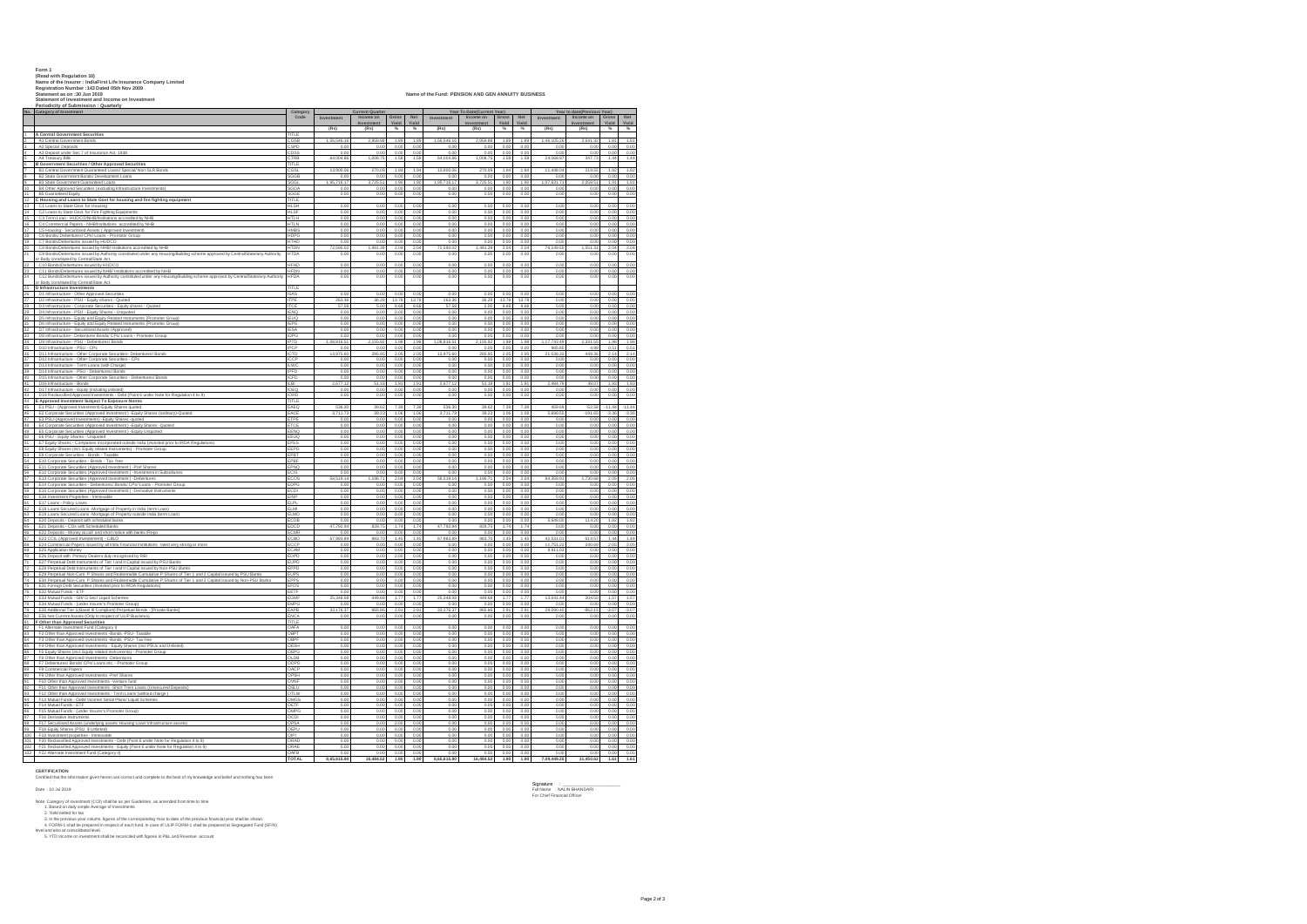| Form 1 |  |  |  |
|--------|--|--|--|
|        |  |  |  |

|                 | Form 1<br>(Read with Regulation 10)<br>Name of the Insurer : IndiaFirst Life Insurance Company Limited<br>Registration Number : 143 Dated 05th Nov 2009<br>Name of the Fund: PENSION AND GEN ANNUITY BUSINESS<br>Statement as on :30 Jun 2019<br>Statement of Investment and Income on Investment<br>Periodicity of Submission : Quarterly                                                                                                                |                            |                     |                                                   |                     |                        |                     |                                                       |                 |                        |                        |                                                        |                 |                                   |
|-----------------|-----------------------------------------------------------------------------------------------------------------------------------------------------------------------------------------------------------------------------------------------------------------------------------------------------------------------------------------------------------------------------------------------------------------------------------------------------------|----------------------------|---------------------|---------------------------------------------------|---------------------|------------------------|---------------------|-------------------------------------------------------|-----------------|------------------------|------------------------|--------------------------------------------------------|-----------------|-----------------------------------|
|                 | No. Category of Investment                                                                                                                                                                                                                                                                                                                                                                                                                                | Category<br>Code           | Investment          | <b>Current Quarter</b><br>Income on<br>Investment | Gross<br>Yield      | Net<br>Yield           | Investment          | Year To Date(Current Year)<br>Income on<br>Investment | Gross<br>Yield  | Net<br>Yield           | Investment             | Year to date(Previous Year)<br>Income on<br>Investment | Gross<br>Yield  | $\operatorname{\sf Net}$<br>Yield |
|                 | 1 A Central Government Securities                                                                                                                                                                                                                                                                                                                                                                                                                         | TITLE                      | (Rs)                | (Rs)                                              | $\frac{1}{2}$       | $\gamma_{\rm e}$       | (Rs)                | (Rs)                                                  | $\frac{1}{2}$   | $\eta_L$               | (Rs)                   | (Rs)                                                   | $\frac{1}{2}$   | $\%$                              |
| 2               | A1 Central Government Bonds                                                                                                                                                                                                                                                                                                                                                                                                                               | CGSB                       | 1,56,546.16         | 2,959.88                                          | 1.89                | 1.89                   | 1,56,546.16         | 2,959.88                                              | 1.89            | 1.89                   | 1,46,105.26            | 2,641.32                                               | 1.81            | 1.81                              |
|                 | A2 Special Deposits<br>A3 Deposit under Sec 7 of Insurance Act, 1938                                                                                                                                                                                                                                                                                                                                                                                      | "CDF                       | n on<br>0.00        | 0.00<br>0.00                                      | 0.00<br>0.00        | 0.00<br>0.00           | 0.00<br>0.00        | 0.00<br>0.00                                          | 0.00<br>0.00    | 0.00<br>0.00           | 0.00<br>0.00           | 0.00<br>0.00                                           | 0.00<br>0.00    | $\frac{0.00}{0.00}$               |
|                 | A4 Treasury Rills                                                                                                                                                                                                                                                                                                                                                                                                                                         |                            | 64,004.86           | 10087                                             | 15                  | 1.58                   | 64.004.8            | 1.008.75                                              | 1.58            | 1.58                   | 24.068.90              | 3477                                                   | 1.44            | 1.44                              |
| ś.              | B Government Securities / Other Approved Securities<br>B1 Central Government Guaranteed Loans/ Special/ Non-SLR B                                                                                                                                                                                                                                                                                                                                         | TITLE                      | 13,900.06           | 270.09                                            | 1.94                | 1.94                   | 13,900.06           | 270.09                                                | 1.94            | 1.94                   | 11,448.04              | 219.55                                                 | 1.92            | 1.92                              |
|                 | B2 State Government Bonds/ Development Loans<br><b>B3 State Government Guaranteed Loans</b>                                                                                                                                                                                                                                                                                                                                                               | SGGB<br>3G GI              | 0.00<br>1,95,716.17 | 0.00<br>3,725.51                                  | 0.00<br>1.90        | 0.00<br>1.90           | 0.00<br>1,95,716.17 | 0.00<br>3,725.51                                      | 0.00<br>1.90    | 0.00<br>1.90           | 0.00<br>1,07,631.7     | 0.00<br>2,058.5                                        | 0.00<br>1.91    | 0.00<br>1.91                      |
|                 | 10 B4 Other Approved Securities (excluding Infrastructure Investments)                                                                                                                                                                                                                                                                                                                                                                                    | SGOA                       | 0.00                | 0.00                                              | 0.00                | 0.00                   | 0.01                | 0.00                                                  | 0.00            | 0.00                   | 0.00                   | 0.00                                                   | 0.00            | 0.00                              |
|                 | 11 BS Guaranteed Equity<br>12 C Housing and Loans to State Govt for housing and fire fighting equipment<br>13 C I Loans to State Govt. for Housing<br>14 C2 Loans to State Govt. for Fire Fighting Equipments                                                                                                                                                                                                                                             | <b>SGGE</b><br>TITLE       | 0.00                | 0.00                                              | 0.00                | 0.00                   | 0.00                | 0.00                                                  | 0.00            | 0.00                   | 0.00                   | 0.00                                                   | 0.00            | 0.00                              |
|                 |                                                                                                                                                                                                                                                                                                                                                                                                                                                           | <b>HLSH</b>                | 0.00                | 0.00                                              | 0.00                | 0.00                   | 0.00                | 0.00                                                  | 0.00            | 0.00                   | 0.00                   | 0.00                                                   | 0.00            | 0.00                              |
|                 |                                                                                                                                                                                                                                                                                                                                                                                                                                                           | ILSF<br>HTLH               | 0.00<br>0.00        | 0.00<br>0.00                                      | 0.00<br>0.00        | 0.00<br>0.00           | 0.00<br>0.00        | 0.00<br>n nn                                          | 0.00<br>0.00    | 0.00<br>0.00           | 0.00<br>0.00           | 0.00<br>0.00                                           | 0.00<br>0.00    | 0.00<br>0.00                      |
|                 |                                                                                                                                                                                                                                                                                                                                                                                                                                                           | HTLN<br>11/10              | 0.00<br>00          | 0.00<br>0.01                                      | 0.00<br>00          | 0.00<br>0 <sup>0</sup> | 0.00<br>00          | 0.00<br>000                                           | 0.00<br>00      | 0.00<br>0 <sup>0</sup> | 0.00<br>00             | 0.00<br>0 <sub>0</sub>                                 | 0.00<br>00      | 0.00<br>0.00                      |
|                 |                                                                                                                                                                                                                                                                                                                                                                                                                                                           | HDPG                       | 0.00                | 0.00                                              | 0.01                | 0.00                   | 0.00                | n no                                                  | 0.00            | 0.00                   | 0.00                   | 0.00                                                   | 0.00            | 0.00                              |
|                 | $\begin{tabular}{ll} 14 & 12 & 20006 & 20000 & 20000 & 20000 & 20000 & 20000 & 20000 & 20000 & 20000 & 20000 & 20000 & 20000 & 20000 & 20000 & 20000 & 20000 & 20000 & 20000 & 20000 & 20000 & 20000 & 20000 & 20000 & 20000 & 20000 & 20000 & 20000 & 20000 & 20000 & $                                                                                                                                                                                  | <b>ITHI</b><br><b>HTDN</b> | 0.00<br>72.590.02   | 0.00<br>1,481.39                                  | 204                 | 0.00<br>2.04           | 0.01<br>72.590.02   | 1,481.39                                              | 0.01<br>204     | 0.00<br>2.04           | 0.0<br>76,149.55       | .551.31                                                | 0.00<br>2.04    | 0.00<br>2.04                      |
|                 | C9 Bonds/Debentures issued by Authority constituted under any Housing/Building scheme approved by Central/State/any Authority<br>or Body constituted by Central/State Act.                                                                                                                                                                                                                                                                                | <b>ITDA</b>                | 0.00                | 0.00                                              | 0.00                | 0.00                   | 0.01                | 0.00                                                  | 0.00            | 0.00                   | 0.00                   | 0.00                                                   | 0.00            | 0.00                              |
| $\overline{22}$ | C10 Bonds/Debentures issued by HUDCO                                                                                                                                                                                                                                                                                                                                                                                                                      | HFHD                       | 0.00                | 0.00                                              | 0.00                | 0.00                   | 0.00                | 0.00                                                  | 0.00            | 0.00                   | 0.00                   | 0.00                                                   | 0.00            | 0.00                              |
|                 |                                                                                                                                                                                                                                                                                                                                                                                                                                                           | <b>HFDN</b><br><b>IFDA</b> | 0.00<br>0.00        | 0.00<br>0.00                                      | 0.00<br>0.00        | 0.00<br>0.00           | 0.00<br>0.01        | 0.00<br>0.00                                          | 0.00<br>0.00    | 0.00<br>0.00           | 0.00<br>0.00           | 0.00<br>0.00                                           | 0.00<br>0.00    | 0.00<br>0.00                      |
|                 |                                                                                                                                                                                                                                                                                                                                                                                                                                                           | TITI F                     |                     |                                                   |                     |                        |                     |                                                       |                 |                        |                        |                                                        |                 |                                   |
|                 |                                                                                                                                                                                                                                                                                                                                                                                                                                                           | ISAS                       | 0.00                | 0.00                                              | 0.00                | 0.00                   | 0.00                | 0.00                                                  | 0.00            | 0.00                   | 0.00                   | 0.00                                                   | 0.00            | 0.00                              |
| 28              | D3 Infrastructure - Corporate Securities - Equity shares - Quoted                                                                                                                                                                                                                                                                                                                                                                                         | TPE                        | 263.36<br>57.58     | 36.28<br>s oc                                     | 13.78<br>8.65       | 13.78<br>8.68          | 263.36<br>57.58     | 36.28                                                 | 13.78<br>8 F.R. | 13.78<br>8.68          | 0.00<br>0.00           | 0.00                                                   | 0.00<br>0.00    | 0.00<br>0.00                      |
|                 | 29 D4 Infrastructure - PSU - Equity Shares - Unquoted<br>30 D5 Infrastructure - Equity and Equity Related Instrum                                                                                                                                                                                                                                                                                                                                         | <b>IENO</b>                | 0.00                | 0.00                                              | 0.00                | 0.00                   | 0.00                | 0.00                                                  | 0.00            | 0.00                   | 0.00                   | 0.00                                                   | 0.00            | 0.00                              |
|                 | D5 Infrastructure - Equity and Equity Related Instruments (Promoter Group                                                                                                                                                                                                                                                                                                                                                                                 | <b>IEPG</b>                | 0.00<br>0.00        | 0.0<br>o oc                                       | 0.0<br>0.01         | 0.00<br>0.00           | 0.0<br>0.00         | 0.0<br>0.0C                                           | 0.00<br>0.00    | 0.00<br>0.00           | 0.0<br>0.00            | 0.01<br>0.00                                           | 0.00<br>0.00    | 0.00<br>0.00                      |
|                 | 31 D6 Infrastructure - Equity and Equity Related Instruments (Promoter Group)<br>32 D7 Infrastructure - Securitised Assets (Approved)                                                                                                                                                                                                                                                                                                                     | <b>IDPG</b>                | 0.00<br>0.00        | 0.00<br>0.00                                      | 0.00<br>0.00        | 0.00<br>0.00           | 0.00<br>0.00        | 0.00<br>0.00                                          | 0.00<br>0.00    | 0.00<br>0.00           | 0.00<br>0.00           | 0.01<br>0.00                                           | 0.00<br>0.00    | 0.00<br>0.00                      |
|                 | 33 D8 Infrastructure - Debenture/ Bonds/ CPs/ Ld<br>34 D9 Infrastructure - PSU - Debentures/ Bonds<br>35 D10 Infrastructure - PSU - CPs<br>D8 Infrastructure - Debenture/ Bonds/ CPs/ Loans - Promoter Group                                                                                                                                                                                                                                              | PTD                        | 1,08,816.51         | 2,155.92                                          | 1.98                | 1.98                   | 1,08,816.51         | 2,155.92                                              | 1.98            | 1.98                   | 1,17,743.49            | 2,331.55                                               | 1.98            | 1.98                              |
|                 |                                                                                                                                                                                                                                                                                                                                                                                                                                                           | ICTD                       | 0.00<br>13,975.60   | 0.00<br>285.95                                    | 0.01<br>2.05        | 0.00<br>2.05           | 0.00<br>13,975.60   | 0.00<br>285.95                                        | 0.00<br>2.05    | 0.00<br>2.05           | 985.85<br>21,038.33    | 4.98<br>449.36                                         | 0.51<br>2.14    | 0.51<br>2.14                      |
|                 | 36 D11 Infrastructure - Other Corporate Securities - Debentures/ Bonds<br>37 D12 Infrastructure - Other Corporate Securities - CPs<br>38 D13 Infrastructure - Term Loans (with Charge)                                                                                                                                                                                                                                                                    | ccp                        | 0.00                | o oc                                              | 0.01                | 0.00                   | 0.00                | o oc                                                  | 0.00            | 0.00                   | 0.00                   | 0.00                                                   | 0.00            | 0.00                              |
|                 | 39 D14 Infrastructure - PSU - Debentures/ Bonds                                                                                                                                                                                                                                                                                                                                                                                                           | <b>ILWC</b><br><b>IPFD</b> | 0.00<br>0.00        | 0.00<br>0.00                                      | 0.00<br>0.00        | 0.00<br>0.00           | 0.00<br>0.00        | 0.00<br>0.00                                          | 0.00<br>0.00    | 0.00<br>0.00           | 0.00<br>0.00           | 0.00<br>0.00                                           | 0.00<br>0.00    | 0.00<br>0.00                      |
|                 | $\begin{tabular}{r c c c} \hline 21 & D11 & International Section & 2.002\\ \hline 22 & D15 & International Section & 2.002\\ \hline 43 & D15 & International Section & 2.002\\ \hline 44 & D16 & International. & 2.003\\ \hline 45 & D17 & Information & 2.504\\ \hline 46 & D18 & International. & 2.004\\ \hline 47 & D18 & International. & 2.004\\ \hline 48 & B10 & D18 & D18 & D18\\ \hline 49 & D18 & D18 & D18 & D18\\ \hline 41 & E & A19 & D$ | ICED                       | 0.00<br>2.677.12    | 0.00<br>51.18                                     | $\frac{0.00}{1.91}$ | 0.00<br>1.91           | 0.00<br>2.677.12    | 0.00<br>51.18                                         | 0.00<br>1.91    | 0.00<br>1.91           | 0.00<br>2,484.79       | 0.00<br>48.07                                          | 0.00<br>1.93    | 0.00<br>1.93                      |
|                 |                                                                                                                                                                                                                                                                                                                                                                                                                                                           | LB<br>OFC                  | 00                  | 00                                                | 00                  | 000                    | 00                  | 000                                                   | 000             | 0.00                   | 00                     | 0 <sup>0</sup>                                         | 00              | 0.00                              |
|                 |                                                                                                                                                                                                                                                                                                                                                                                                                                                           | IORD<br>mu                 | 0.00                | 0.00                                              | 0.00                | 0.00                   | 0.00                | 0.00                                                  | 0.00            | 0.00                   | 0.00                   | 0.01                                                   | 0.00            | 0.00                              |
|                 | 45 E1 PSU - (Approved Investment)-Equity Shares quoted<br>46 E2 Corporate Securities (Approved Investment ) -Equity Shares (ordinary)-Quoted                                                                                                                                                                                                                                                                                                              | EAEQ                       | 536.30              | 39.62                                             | 7.39                | 7.39                   | 536.30              | 39.62                                                 | 7.39            | 7.39                   | 459.69                 | $-52.58$                                               | $-11.44$        | $-11.44$                          |
|                 | 47 E3 PSU-(Approved Investments) -Equity Shares -quoted                                                                                                                                                                                                                                                                                                                                                                                                   | EACE<br>ETPE               | 3,711.73<br>0.00    | 39.23<br>0.00                                     | 1.06<br>0.00        | 1.06<br>0.00           | 3,711.73<br>0.0     | 39.23<br>0.00                                         | 1.06<br>0.00    | 1.06<br>0.00           | 5,699.55<br>0.00       | 191.6<br>0.00                                          | $-3.36$<br>0.00 | $-3.36$<br>0.00                   |
|                 | 48 E4 Corporate Securities (Approved Investment) - Equity Shares - Quoted                                                                                                                                                                                                                                                                                                                                                                                 | ETCE<br>EENO               | 0.00<br>0.00        | 0.00                                              | 0.00<br>0.01        | 0.00                   | 0.00<br>0.00        | 0.00<br>o oc                                          | 0.00            | 0.00                   | 0.00                   | 0.00<br>0.00                                           | 0.00            | 0.00<br>0.00                      |
|                 | 49 E5 Corporate Securities (Approved Investment ) - Equity Unquoted<br>50 E6 PSU - Equity Shares - Unquoted<br>51 E7 Equity Shares - Companies incorporated outside India (invested prior to IRDA Regulations)                                                                                                                                                                                                                                            | EEUQ                       | 0.00                | 0.00<br>0.00                                      | 0.00                | 0.00<br>0.00           | 0.00                | 0.00                                                  | 0.00<br>0.00    | 0.00<br>0.00           | 0.00<br>0.00           | 0.00                                                   | 0.00<br>0.00    | 0.00                              |
|                 |                                                                                                                                                                                                                                                                                                                                                                                                                                                           | <b>EFES</b><br>EEPO        | 0.00<br>0.00        | 0.00<br>0.00                                      | 0.00<br>0.00        | 0.00<br>0.00           | 0.00<br>0.00        | 0.00<br>0.00                                          | 0.00<br>0.00    | 0.00<br>0.00           | 0.00<br>0.00           | 0.00<br>0.00                                           | 0.00<br>0.00    | 0.00<br>0.00                      |
|                 | $\begin{tabular}{ c c c c c } \hline 1 & $E'(E) \& B(0,2000) & $E'(E) \& E'(E) \& E'(E) \& E'(E) \& E'(E) \& E'(E) \& E'(E) \& E'(E) \& E'(E) \& E'(E) \& E'(E) \& E'(E) \& E'(E) \& E'(E) \& E'(E) \& E'(E) \& E'(E) \& E'(E) \& E'(E) \& E'(E) \& E'(E) \& E'(E) \& E'(E) \& E'(E) \& E'(E) \& E'(E) \& E'(E) \& E'(E) \& E'(E) \& E'(E)$                                                                                                               | <b>PBT</b>                 | 0.00                | 0.00                                              | 0.00                | 0.00                   | 0.00                | 0.00                                                  | 0.00            | 0.00                   | 0.00                   | 0.00                                                   | 0.00            | 0.00                              |
|                 |                                                                                                                                                                                                                                                                                                                                                                                                                                                           | <b>DOL</b><br>EPNO         | 00<br>0.00          | 00<br>0.00                                        | 00<br>0.01          | 0 <sup>0</sup><br>0.00 | 00<br>0.00          | nno<br>n no                                           | 00<br>0.00      | 000<br>0.00            | 00<br>0.00             | 0 <sub>0</sub><br>0.00                                 | 0.00<br>0.00    | 0.00<br>0.00                      |
|                 |                                                                                                                                                                                                                                                                                                                                                                                                                                                           |                            | 0.O                 | 0.00                                              | 0.01                | 0.00                   | 0.0                 |                                                       | 0.00            | 0.00                   | 0.0                    |                                                        | 0.00            | 0.00                              |
|                 |                                                                                                                                                                                                                                                                                                                                                                                                                                                           | ECOS<br>EDPC               | 58.519.14<br>0.00   | 1.196.71<br>0.00                                  | 2.04<br>0.00        | 2.04<br>0.00           | 58.519.14<br>0.0    | 1.196.71<br>0.00                                      | 2.04<br>0.00    | 2.04<br>0.00           | 84,359.91<br>0.00      | 1.730.68<br>0.0                                        | 2.05<br>0.00    | 2.05<br>0.00                      |
|                 |                                                                                                                                                                                                                                                                                                                                                                                                                                                           | ECDI                       | 0.00                | 0.00                                              | 0.01                | 0.00                   | 0.01                | 0.00                                                  | 0.00            | 0.00                   | 0.00                   | 0.00                                                   | 0.00            | 0.00                              |
|                 |                                                                                                                                                                                                                                                                                                                                                                                                                                                           | <b>EINP</b><br>EI PI       | 0.00<br>0.00        | 0.00<br>0.00                                      | 0.00<br>0.01        | 0.00<br>0.00           | 0.00<br>0.00        | 0.00<br>0.00                                          | 0.00<br>0.00    | 0.00<br>0.00           | 0.00<br>0.00           | 0.00<br>0.00                                           | 0.00<br>0.00    | 0.00<br>0.00                      |
|                 | 62 E18 Loans Secured Loans -Mortgage of Property in India (term Loan)<br>E19 Loans Secured Loans -Mortgage of Property outside India (term Loan                                                                                                                                                                                                                                                                                                           | ELMI<br>ELMO               | 0.00<br>0.00        | 0.00<br>0.00                                      | 0.00<br>0.00        | 0.00<br>0.00           | 0.00<br>0.00        | 0.00<br>0.00                                          | 0.00<br>0.00    | 0.00<br>0.00           | 0.00<br>0.00           | 0.00<br>0.00                                           | 0.00<br>0.00    | 0.00<br>0.00                      |
|                 |                                                                                                                                                                                                                                                                                                                                                                                                                                                           | ECDB                       | 0.00                | 0.00                                              | 0.00                | 0.00                   | 0.00                | 0.00                                                  | 0.00            | 0.00                   | 5.949.00               | 114.20                                                 | 1.92            | 1.92                              |
|                 | 54 E20 Deposits - Deposit with scheduled banks<br>55 E21 Deposits - CDs with Scheduled Banks<br>56 E22 Deposits - Money at call and short notice<br>E22 Deposits - Money at call and short notice with banks /Repo                                                                                                                                                                                                                                        | EDCE<br>CMD                | 47,792.94<br>n on   | 829.75<br>0.00                                    | 1.74<br>00          | 1.74<br>000            | 47,792.94<br>o or   | 829.75<br>n no                                        | 1.74<br>0.00    | 1.74<br>0.00           | 0.00<br>0.01           | 0.00<br>0.00                                           | 0.00<br>0.00    | 0.00<br>0.00                      |
| 57              | E23 CCIL (Approved Investement) - CBLO                                                                                                                                                                                                                                                                                                                                                                                                                    | ECBO                       | 67,983.89<br>0.00   | 983.70<br>0.00                                    | 1.45<br>0.0         | 1.45<br>0.00           | 67.983.89<br>0.0    | 983.70<br>0.00                                        | 1.45<br>0.00    | 1.45<br>0.00           | 42.531.01<br>11,751.22 | 614.57<br>240.69                                       | 1.44<br>2.05    | 1.44<br>2.05                      |
|                 |                                                                                                                                                                                                                                                                                                                                                                                                                                                           | CAM                        | 0.00                | 0.00                                              | 0.00                | 0.00                   | 0.00                | 0.00                                                  | 0.00            | 0.00                   | 9.911.03               | 0.00                                                   | 0.00            | 0.00                              |
|                 |                                                                                                                                                                                                                                                                                                                                                                                                                                                           | EUPD                       | 0.00<br>0.00        | 0.00<br>0.00                                      | 0.01                | 0.00<br>0.00           | 0.01<br>0.01        | 0.0<br>0.00                                           | 0.00<br>0.00    | 0.00<br>0.00           | 0.0<br>0.00            | 0.0<br>0.01                                            | 0.00<br>0.00    | 0.00<br>0.00                      |
|                 |                                                                                                                                                                                                                                                                                                                                                                                                                                                           | EPPD                       | 0.00                | 0.00                                              | 0.00                | 0.00                   | 0.00                | 0.00                                                  | 0.00            | 0.00                   | 0.00                   | 0.00                                                   | 0.00            | 0.00                              |
|                 |                                                                                                                                                                                                                                                                                                                                                                                                                                                           | <b>FLIPS</b><br>EPPS       | 0.00<br>0.00        | 0.00<br>0.00                                      | 0.00<br>0.00        | 0.00<br>0.00           | 0.00<br>0.00        | o oc<br>0.00                                          | 0.00<br>0.00    | 0.00<br>0.00           | 0.00<br>0.00           | 0.00<br>0.00                                           | 0.00<br>0.00    | 0.00<br>0.00                      |
|                 |                                                                                                                                                                                                                                                                                                                                                                                                                                                           | FDS<br>EETF                | 0.00                | 0.00                                              | 0.00                | 0.00                   | 0.00                | 0.00                                                  | 0.00            | 0.00                   | 0.00                   | 0.00                                                   | 0.00            | 0.00<br>0.00                      |
|                 | For ES2 Matter Frankright (international and incorrespondent)<br>TT ES3 Matter Frankright (international community)<br>TS ES2 Matter Frankright (international process of the Samuel Schedule<br>TS ES4 Matter Frankright (internati                                                                                                                                                                                                                      | EGMP                       | 0.00<br>25,348.08   | 0.00<br>449.68                                    | 0.00<br>1.77        | 0.00<br>1.77           | 0.00<br>25,348.08   | 0.00<br>449.68                                        | 0.00<br>1.77    | 0.00<br>1.77           | 0.00<br>13,041.44      | 0.00<br>204.50                                         | 0.00<br>1.57    | 1.57                              |
|                 |                                                                                                                                                                                                                                                                                                                                                                                                                                                           | EAPB                       | n n<br>33.176.37    | n no<br>965.86                                    | 0.0<br>2.9'         | 0.00<br>2.91           | n n<br>33.176.37    | 0.0C<br>965.86                                        | 0.00<br>2.91    | 0.00<br>2.91           | n n<br>28.090.40       | 0.00<br>862.15                                         | 0.00<br>$-3.07$ | 0.00<br>$-3.07$                   |
|                 |                                                                                                                                                                                                                                                                                                                                                                                                                                                           |                            |                     | 0.00                                              | 0.01                | 0.01                   | 0.0                 | 0.0                                                   | 0.00            | 0.00                   | 0.0                    | 0.0                                                    | 0.00            | 0.00                              |
|                 |                                                                                                                                                                                                                                                                                                                                                                                                                                                           | TITLE                      | 0.00                | 0.00                                              | 0.01                | 0.00                   | 0.0                 | 0.0                                                   | 0.01            | 0.00                   | 0.00                   | 0.0                                                    | 0.00            | 0.00                              |
|                 |                                                                                                                                                                                                                                                                                                                                                                                                                                                           | <b>IRP</b>                 | 0.00                | 0.0                                               |                     | 0.00                   | 0.0                 |                                                       | 0.00            | 0.01                   | 0.00                   |                                                        | 0.0             | 0.00                              |
|                 | $\begin{tabular}{ll} \hline \textbf{51} & \textbf{V. Unif } \textbf{man} & \textbf{MepPoveba} & \textbf{Socellide} \\ \hline \textbf{52} & \textbf{F} & \textbf{I.} & \textbf{MepPoveba} & \textbf{Socellide} \\ \hline \textbf{53} & \textbf{F2} & \textbf{D.} & \textbf{MepPoveba} & \textbf{D.} & \textbf{MepPoveba} & \textbf{F2} & \textbf{L-Pauteba} \\ \hline \textbf{54} & \textbf{F2} & \textbf{D.} & \textbf{D.} & \textbf{D.$                  | OBPI<br>OFSH               | 0.00<br>0.00        | 0.00<br>0.00                                      | 0.00<br>0.00        | 0.00<br>0.00           | 0.00<br>0.00        | 0.00<br>0.00                                          | 0.00<br>0.00    | 0.00<br>0.00           | 0.00<br>0.00           | 0.00<br>0.00                                           | 0.00<br>0.00    | 0.00<br>0.00                      |
|                 | B7 F6 Other than Approved Investments - Debentures                                                                                                                                                                                                                                                                                                                                                                                                        | OEPG<br>OLDB               | 0.00<br>0.00        | 0.00                                              | 0.00<br>0.00        | 0.00<br>0.00           | 0.00<br>0.00        | 0.00                                                  | 0.00<br>0.00    | 0.00<br>0.00           | 0.00                   | 0.00                                                   | 0.00<br>0.00    | 0.00<br>0.00                      |
|                 |                                                                                                                                                                                                                                                                                                                                                                                                                                                           | ODPG                       | 0.00                | 0.00<br>0.00                                      | 0.00                | 0.00                   | 0.00                | 0.00<br>0.00                                          | 0.00            | 0.00                   | 0.00<br>0.00           | 0.00<br>0.00                                           | 0.00            | 0.00                              |
|                 | 1988 - Procede and American Constant Constant Constant Constant Constant Constant Constant Constant Constant Constant Constant Constant Constant Constant Constant Constant Constant Constant Constant Constant Constant Const                                                                                                                                                                                                                            | <b>JPSH</b>                | 0.00<br>0.00        | 0.00<br>0.00                                      | 0.00<br>00          | 0.00<br>0.00           | 0.00<br>0.01        | 0.00<br>0.0C                                          | 0.00<br>0.00    | 0.00<br>0.00           | 0.00<br>0.00           | 0.00<br>0.00                                           | 0.00<br>0.00    | 0.00<br>0.00                      |
|                 |                                                                                                                                                                                                                                                                                                                                                                                                                                                           | OVNE                       | 0.00                | 0.00                                              | 0.00                | 0.00                   | 0.00                | 0.00                                                  | 0.00            | 0.00                   | 0.00                   | 0.00                                                   | 0.00            | 0.00                              |
|                 | 92 F11 Other than Approved Investments -Short Trem Loans (Unsecured F12 Other than Approved Investments - Term Loans (without charge )<br>94 F13 Mutual Funds - Debt/ Income/ Serial Plans/ Liquid Schemes<br>F11 Other than Approved Investments -Short Trem Loans (Unsecured De                                                                                                                                                                         | OTLW                       | 0.00<br>0.00        | 0.00                                              | 0.0<br>0.00         | 0.00<br>0.00           | 0.0<br>0.00         | 0.00<br>0.00                                          | 0.00<br>0.00    | 0.00<br>0.00           | 0.00<br>0.00           | 0.00<br>0.00                                           | 0.00<br>0.00    | 0.00<br>0.00                      |
|                 |                                                                                                                                                                                                                                                                                                                                                                                                                                                           | CETE                       | 0.00                | 0.00<br>0.00                                      | 0.01                | 0.00<br>0.00           | 0.01<br>0.0         | 0.00<br>0.0                                           | 0.00            | 0.00                   | 0.00                   | 0.0<br>0.0                                             | 0.00            | 0.00                              |
| 95              | F14 Mutual Funds - ETF                                                                                                                                                                                                                                                                                                                                                                                                                                    | OMPG                       | 0.00<br>0.00        | 0.00                                              | 0.0<br>0.01         | 0.00                   | 0.01                | 0.00                                                  | 0.00<br>0.00    | 0.00<br>0.00           | 0.00<br>0.00           | 0.0                                                    | 0.0<br>0.00     | 0.00<br>0.00                      |
|                 | 96 – F15 Mutual Funds - (under Insurer's Promoter Group)<br>97 – F16 Derivative Instruments<br>98 – F17 Securitised Assets (underlying assets Housing Loan/ Infrastructure assets)                                                                                                                                                                                                                                                                        | CDI<br>OPSA                | 0.00<br>0.00        | 0.00<br>0.00                                      | 0.01<br>0.00        | 0.00<br>0.00           | 0.00<br>0.00        | 0.00<br>0.00                                          | 0.00<br>0.00    | 0.00<br>0.00           | 0.00<br>0.00           | 0.00<br>0.00                                           | 0.00<br>0.00    | 0.00<br>0.00                      |
|                 | 99 F18 Equity Shares (PSU \$ Unlisted)                                                                                                                                                                                                                                                                                                                                                                                                                    | <b>DEPU</b>                | 0.00                | 0.00                                              | 0.00                | 0.00                   | 0.00                | 0.00                                                  | 0.00            | 0.00                   | 0.00                   | 0.00                                                   | 0.00            | 0.00                              |
|                 | 100 F19 Investment properties - Immovable<br>F20 Reclassified Approved Investments - Debt (Point 6 under Note for Regulation 4 to 9)                                                                                                                                                                                                                                                                                                                      | NPI<br>ORAD                | 0.00<br>0.00        | 0.00<br>0.00                                      | 0.00<br>0.00        | 0.00<br>0.00           | 0.00<br>0.00        | 0.00<br>0.00                                          | 0.00<br>0.00    | 0.00<br>0.00           | 0.00<br>0.00           | 0.00<br>0.00                                           | 0.00<br>0.00    | 0.00<br>0.00                      |
|                 | 102 F21 Reclassified Approved Investments - Equity (Point 6 under Note for Regulation 4 to 9)<br>103 F22 Alternate Investment Fund (Category II)                                                                                                                                                                                                                                                                                                          | <b>DRAF</b>                | 0.00                | 0.00                                              | 0.00                | 0.00                   | 0.00                | 0.00                                                  | 0.00            | 0.00                   | 0.00                   | 0.00                                                   | 0.00            | 0.00                              |
|                 |                                                                                                                                                                                                                                                                                                                                                                                                                                                           | DAFB                       | 0.00<br>8,65,615.90 | 0.00<br>16,484.5                                  | 0.00<br>1.90        | 0.00<br>1.90           | 0.00<br>8,65,615.90 | 0.00<br>16 484 52                                     | 0.00<br>1.90    | 0.00<br>1.90           | 0.00<br>7,09,449.2     | 0.00<br>11.450.62                                      | 0.00<br>1.61    | 0.00<br>1.61                      |

# **CERTIFICATION**<br>Certified that the info

mation given herein are correct and complete to the best of my knowledge and belief and nothing has been Signature :<br>Full Allamore : -<br>For Chief Financial Officer

Date : 10 Jul2019<br>
L. Subscription of the state of District School of the State of the State of the State of the State of the State of the State of the State of the State of the State of the State of the State of the State